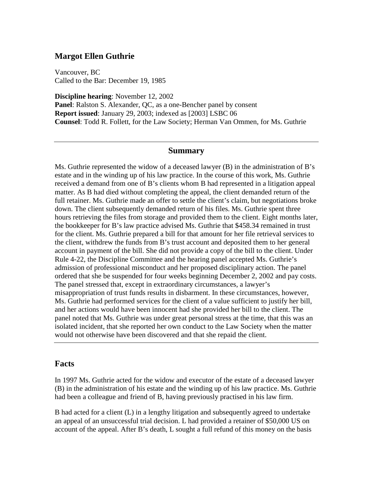## **Margot Ellen Guthrie**

Vancouver, BC Called to the Bar: December 19, 1985

**Discipline hearing**: November 12, 2002 **Panel**: Ralston S. Alexander, QC, as a one-Bencher panel by consent **Report issued**: January 29, 2003; indexed as [2003] LSBC 06 **Counsel**: Todd R. Follett, for the Law Society; Herman Van Ommen, for Ms. Guthrie

## **Summary**

Ms. Guthrie represented the widow of a deceased lawyer (B) in the administration of B's estate and in the winding up of his law practice. In the course of this work, Ms. Guthrie received a demand from one of B's clients whom B had represented in a litigation appeal matter. As B had died without completing the appeal, the client demanded return of the full retainer. Ms. Guthrie made an offer to settle the client's claim, but negotiations broke down. The client subsequently demanded return of his files. Ms. Guthrie spent three hours retrieving the files from storage and provided them to the client. Eight months later, the bookkeeper for B's law practice advised Ms. Guthrie that \$458.34 remained in trust for the client. Ms. Guthrie prepared a bill for that amount for her file retrieval services to the client, withdrew the funds from B's trust account and deposited them to her general account in payment of the bill. She did not provide a copy of the bill to the client. Under Rule 4-22, the Discipline Committee and the hearing panel accepted Ms. Guthrie's admission of professional misconduct and her proposed disciplinary action. The panel ordered that she be suspended for four weeks beginning December 2, 2002 and pay costs. The panel stressed that, except in extraordinary circumstances, a lawyer's misappropriation of trust funds results in disbarment. In these circumstances, however, Ms. Guthrie had performed services for the client of a value sufficient to justify her bill, and her actions would have been innocent had she provided her bill to the client. The panel noted that Ms. Guthrie was under great personal stress at the time, that this was an isolated incident, that she reported her own conduct to the Law Society when the matter would not otherwise have been discovered and that she repaid the client.

## **Facts**

In 1997 Ms. Guthrie acted for the widow and executor of the estate of a deceased lawyer (B) in the administration of his estate and the winding up of his law practice. Ms. Guthrie had been a colleague and friend of B, having previously practised in his law firm.

B had acted for a client (L) in a lengthy litigation and subsequently agreed to undertake an appeal of an unsuccessful trial decision. L had provided a retainer of \$50,000 US on account of the appeal. After B's death, L sought a full refund of this money on the basis